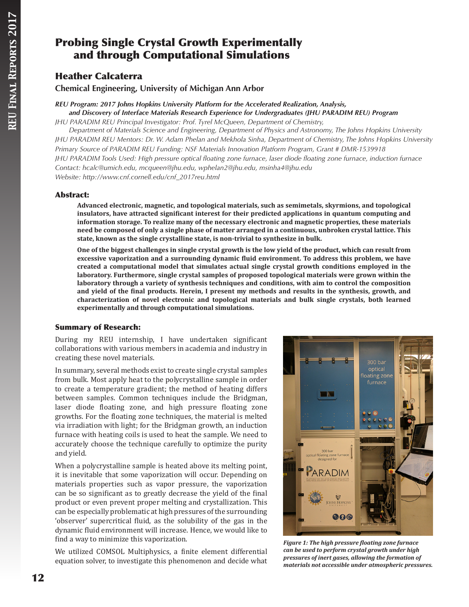# Probing Single Crystal Growth Experimentally and through Computational Simulations

# Heather Calcaterra

**Chemical Engineering, University of Michigan Ann Arbor**

*REU Program: 2017 Johns Hopkins University Platform for the Accelerated Realization, Analysis, and Discovery of Interface Materials Research Experience for Undergraduates (JHU PARADIM REU) Program*

*JHU PARADIM REU Principal Investigator: Prof. Tyrel McQueen, Department of Chemistry,* 

*Department of Materials Science and Engineering, Department of Physics and Astronomy, The Johns Hopkins University JHU PARADIM REU Mentors: Dr. W. Adam Phelan and Mekhola Sinha, Department of Chemistry, The Johns Hopkins University Primary Source of PARADIM REU Funding: NSF Materials Innovation Platform Program, Grant # DMR-1539918 JHU PARADIM Tools Used: High pressure optical floating zone furnace, laser diode floating zone furnace, induction furnace Contact: hcalc@umich.edu, mcqueen@jhu.edu, wphelan2@jhu.edu, msinha4@jhu.edu Website: http://www.cnf.cornell.edu/cnf\_2017reu.html*

# Abstract:

**Advanced electronic, magnetic, and topological materials, such as semimetals, skyrmions, and topological insulators, have attracted significant interest for their predicted applications in quantum computing and information storage. To realize many of the necessary electronic and magnetic properties, these materials need be composed of only a single phase of matter arranged in a continuous, unbroken crystal lattice. This state, known as the single crystalline state, is non-trivial to synthesize in bulk.**

**One of the biggest challenges in single crystal growth is the low yield of the product, which can result from excessive vaporization and a surrounding dynamic fluid environment. To address this problem, we have created a computational model that simulates actual single crystal growth conditions employed in the laboratory. Furthermore, single crystal samples of proposed topological materials were grown within the laboratory through a variety of synthesis techniques and conditions, with aim to control the composition and yield of the final products. Herein, I present my methods and results in the synthesis, growth, and characterization of novel electronic and topological materials and bulk single crystals, both learned experimentally and through computational simulations.**

# Summary of Research:

During my REU internship, I have undertaken significant collaborations with various members in academia and industry in creating these novel materials.

In summary, several methods exist to create single crystal samples from bulk. Most apply heat to the polycrystalline sample in order to create a temperature gradient; the method of heating differs between samples. Common techniques include the Bridgman, laser diode floating zone, and high pressure floating zone growths. For the floating zone techniques, the material is melted via irradiation with light; for the Bridgman growth, an induction furnace with heating coils is used to heat the sample. We need to accurately choose the technique carefully to optimize the purity and yield.

When a polycrystalline sample is heated above its melting point, it is inevitable that some vaporization will occur. Depending on materials properties such as vapor pressure, the vaporization can be so significant as to greatly decrease the yield of the final product or even prevent proper melting and crystallization. This can be especially problematic at high pressures of the surrounding 'observer' supercritical fluid, as the solubility of the gas in the dynamic fluid environment will increase. Hence, we would like to find a way to minimize this vaporization.

We utilized COMSOL Multiphysics, a finite element differential equation solver, to investigate this phenomenon and decide what



*Figure 1: The high pressure floating zone furnace can be used to perform crystal growth under high pressures of inert gases, allowing the formation of materials not accessible under atmospheric pressures.*